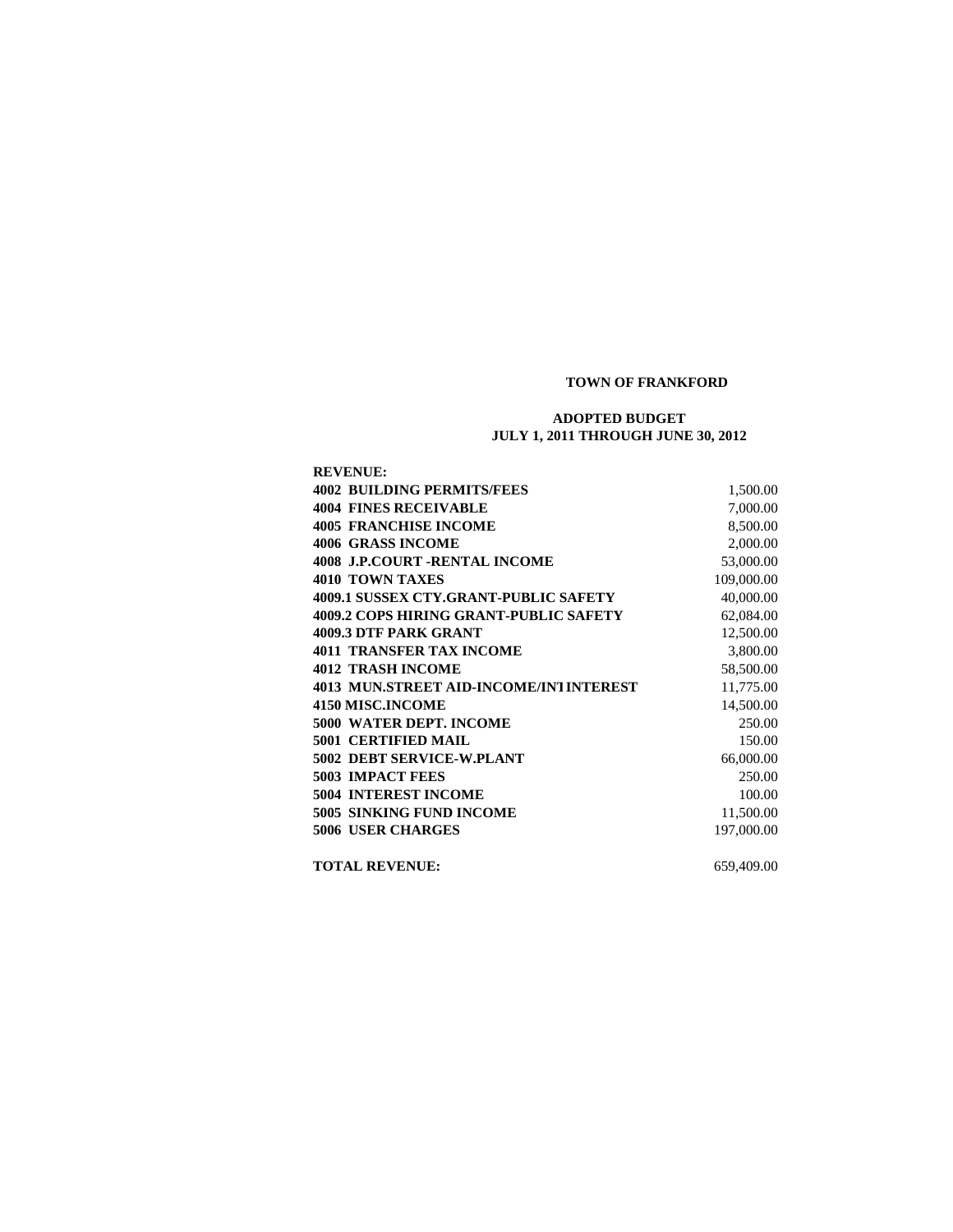## **TOWN OF FRANKFORD**

## **ADOPTED BUDGET JULY 1, 2011 THROUGH JUNE 30, 2012**

| <b>REVENUE:</b>                               |            |
|-----------------------------------------------|------------|
| <b>4002 BUILDING PERMITS/FEES</b>             | 1,500.00   |
| <b>4004 FINES RECEIVABLE</b>                  | 7,000.00   |
| <b>4005 FRANCHISE INCOME</b>                  | 8,500.00   |
| 4006 GRASS INCOME                             | 2,000.00   |
| <b>4008 J.P.COURT -RENTAL INCOME</b>          | 53,000.00  |
| <b>4010 TOWN TAXES</b>                        | 109,000.00 |
| 4009.1 SUSSEX CTY.GRANT-PUBLIC SAFETY         | 40,000.00  |
| <b>4009.2 COPS HIRING GRANT-PUBLIC SAFETY</b> | 62,084.00  |
| <b>4009.3 DTF PARK GRANT</b>                  | 12,500.00  |
| <b>4011 TRANSFER TAX INCOME</b>               | 3,800.00   |
| <b>4012 TRASH INCOME</b>                      | 58,500.00  |
| 4013 MUN.STREET AID-INCOME/INTINTEREST        | 11,775.00  |
| <b>4150 MISC.INCOME</b>                       | 14,500.00  |
| <b>5000 WATER DEPT. INCOME</b>                | 250.00     |
| <b>5001 CERTIFIED MAIL</b>                    | 150.00     |
| 5002 DEBT SERVICE-W.PLANT                     | 66,000.00  |
| <b>5003 IMPACT FEES</b>                       | 250.00     |
| <b>5004 INTEREST INCOME</b>                   | 100.00     |
| <b>5005 SINKING FUND INCOME</b>               | 11,500.00  |
| <b>5006 USER CHARGES</b>                      | 197,000.00 |
| <b>TOTAL REVENUE:</b>                         | 659,409.00 |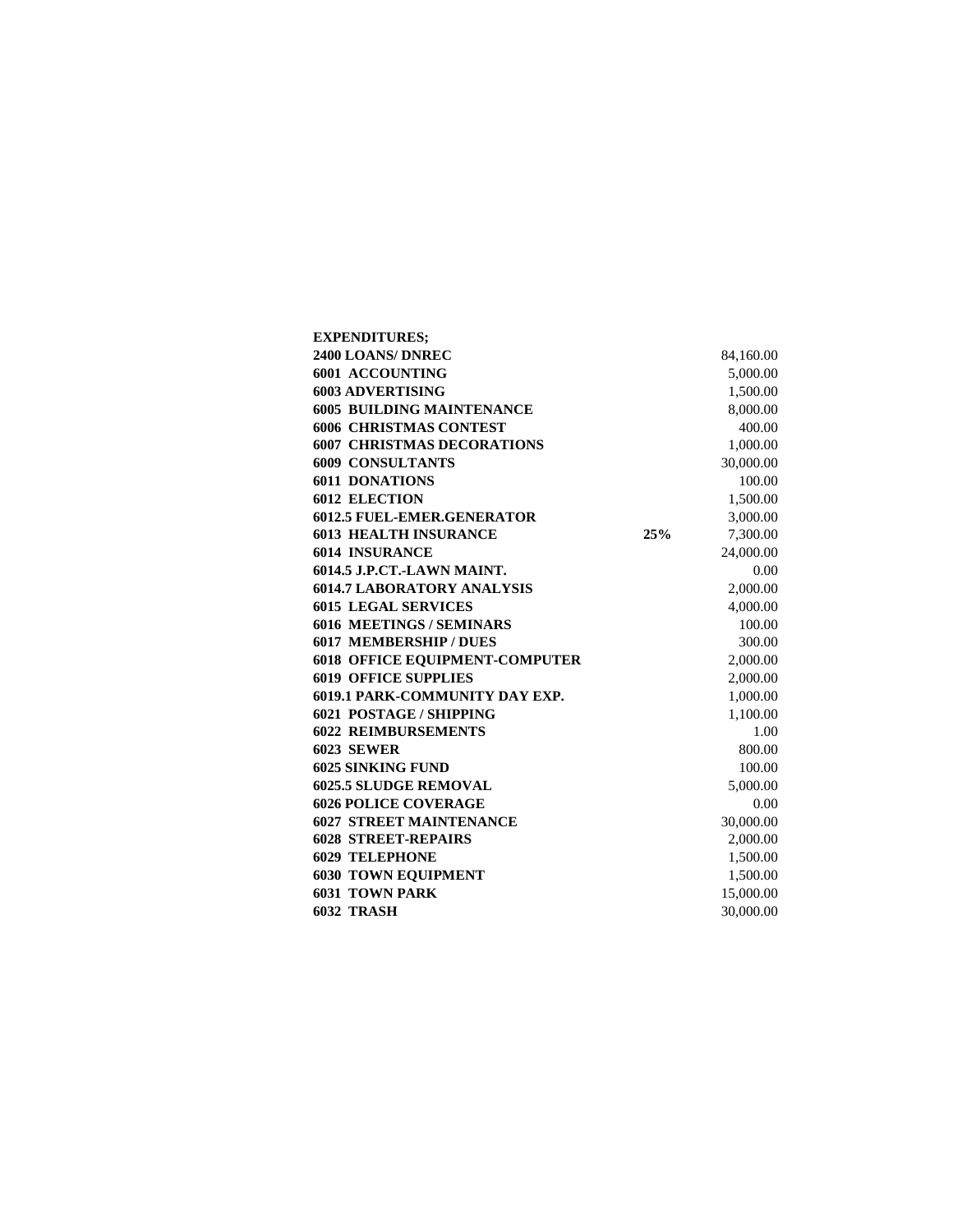| <b>EXPENDITURES;</b>                  |     |           |
|---------------------------------------|-----|-----------|
| 2400 LOANS/DNREC                      |     | 84,160.00 |
| 6001 ACCOUNTING                       |     | 5,000.00  |
| <b>6003 ADVERTISING</b>               |     | 1,500.00  |
| <b>6005 BUILDING MAINTENANCE</b>      |     | 8,000.00  |
| <b>6006 CHRISTMAS CONTEST</b>         |     | 400.00    |
| <b>6007 CHRISTMAS DECORATIONS</b>     |     | 1,000.00  |
| <b>6009 CONSULTANTS</b>               |     | 30,000.00 |
| <b>6011 DONATIONS</b>                 |     | 100.00    |
| <b>6012 ELECTION</b>                  |     | 1,500.00  |
| <b>6012.5 FUEL-EMER.GENERATOR</b>     |     | 3,000.00  |
| <b>6013 HEALTH INSURANCE</b>          | 25% | 7,300.00  |
| <b>6014 INSURANCE</b>                 |     | 24,000.00 |
| 6014.5 J.P.CT.-LAWN MAINT.            |     | 0.00      |
| <b>6014.7 LABORATORY ANALYSIS</b>     |     | 2,000.00  |
| <b>6015 LEGAL SERVICES</b>            |     | 4,000.00  |
| <b>6016 MEETINGS / SEMINARS</b>       |     | 100.00    |
| <b>6017 MEMBERSHIP / DUES</b>         |     | 300.00    |
| <b>6018 OFFICE EQUIPMENT-COMPUTER</b> |     | 2,000.00  |
| <b>6019 OFFICE SUPPLIES</b>           |     | 2,000.00  |
| <b>6019.1 PARK-COMMUNITY DAY EXP.</b> |     | 1,000.00  |
| <b>6021 POSTAGE/SHIPPING</b>          |     | 1,100.00  |
| <b>6022 REIMBURSEMENTS</b>            |     | 1.00      |
| <b>6023 SEWER</b>                     |     | 800.00    |
| <b>6025 SINKING FUND</b>              |     | 100.00    |
| <b>6025.5 SLUDGE REMOVAL</b>          |     | 5,000.00  |
| <b>6026 POLICE COVERAGE</b>           |     | 0.00      |
| <b>6027 STREET MAINTENANCE</b>        |     | 30,000.00 |
| <b>6028 STREET-REPAIRS</b>            |     | 2,000.00  |
| <b>6029 TELEPHONE</b>                 |     | 1,500.00  |
| <b>6030 TOWN EQUIPMENT</b>            |     | 1,500.00  |
| <b>6031 TOWN PARK</b>                 |     | 15,000.00 |
| <b>6032 TRASH</b>                     |     | 30,000.00 |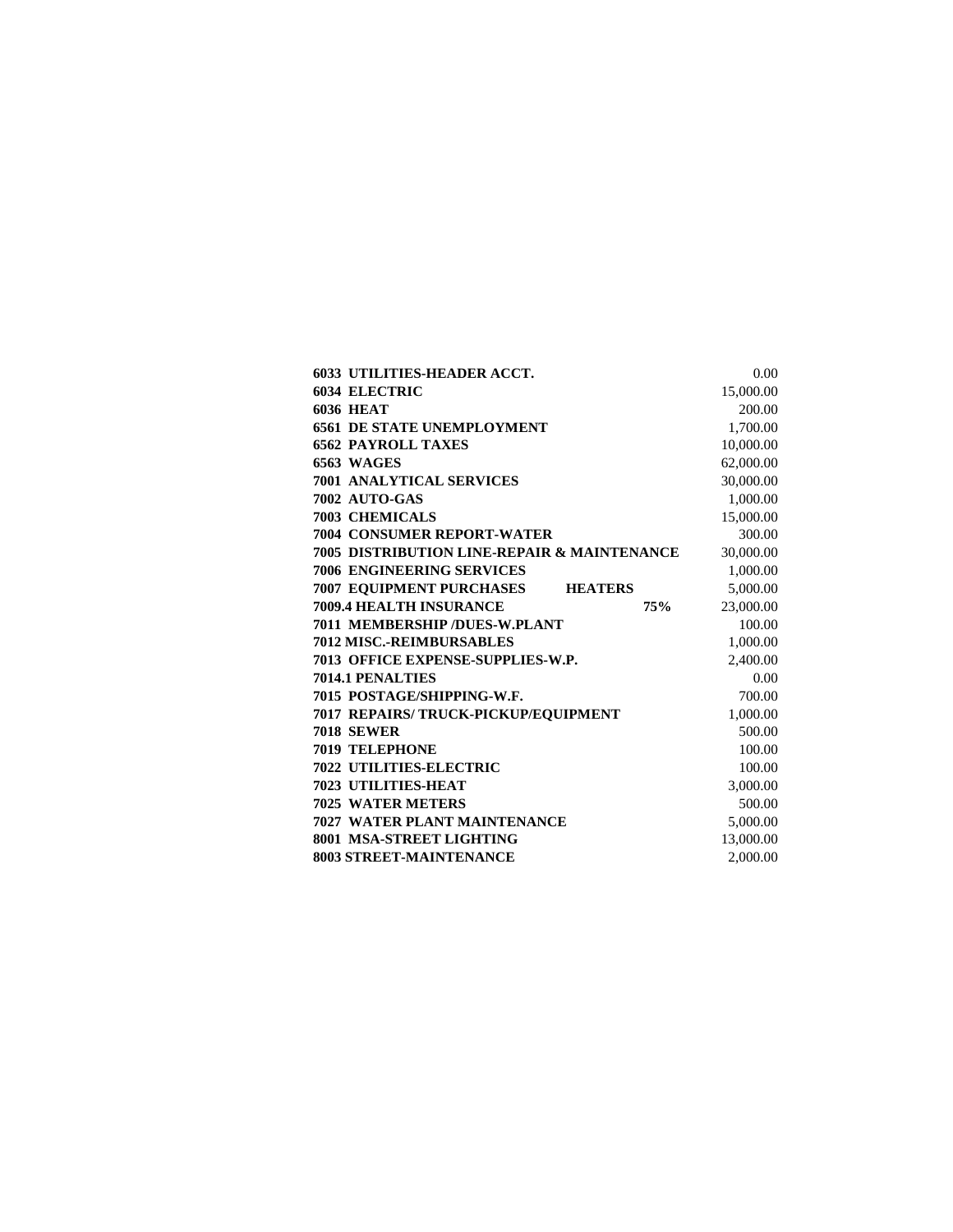| <b>6033 UTILITIES-HEADER ACCT.</b>          | 0.00      |
|---------------------------------------------|-----------|
| <b>6034 ELECTRIC</b>                        | 15,000.00 |
| <b>6036 HEAT</b>                            | 200.00    |
| <b>6561 DE STATE UNEMPLOYMENT</b>           | 1,700.00  |
| <b>6562 PAYROLL TAXES</b>                   | 10,000.00 |
| <b>6563 WAGES</b>                           | 62,000.00 |
| 7001 ANALYTICAL SERVICES                    | 30,000.00 |
| 7002 AUTO-GAS                               | 1,000.00  |
| <b>7003 CHEMICALS</b>                       | 15,000.00 |
| <b>7004 CONSUMER REPORT-WATER</b>           | 300.00    |
| 7005 DISTRIBUTION LINE-REPAIR & MAINTENANCE | 30,000.00 |
| <b>7006 ENGINEERING SERVICES</b>            | 1,000.00  |
| <b>7007 EQUIPMENT PURCHASES HEATERS</b>     | 5,000.00  |
| <b>7009.4 HEALTH INSURANCE</b><br>75%       | 23,000.00 |
| <b>7011 MEMBERSHIP/DUES-W.PLANT</b>         | 100.00    |
| <b>7012 MISC.-REIMBURSABLES</b>             | 1,000.00  |
| <b>7013 OFFICE EXPENSE-SUPPLIES-W.P.</b>    | 2,400.00  |
| 7014.1 PENALTIES                            | 0.00      |
| 7015 POSTAGE/SHIPPING-W.F.                  | 700.00    |
| 7017 REPAIRS/ TRUCK-PICKUP/EQUIPMENT        | 1,000.00  |
| <b>7018 SEWER</b>                           | 500.00    |
| <b>7019 TELEPHONE</b>                       | 100.00    |
| <b>7022 UTILITIES-ELECTRIC</b>              | 100.00    |
| <b>7023 UTILITIES-HEAT</b>                  | 3,000.00  |
| <b>7025 WATER METERS</b>                    | 500.00    |
| <b>7027 WATER PLANT MAINTENANCE</b>         | 5,000.00  |
| 8001 MSA-STREET LIGHTING                    | 13,000.00 |
| <b>8003 STREET-MAINTENANCE</b>              | 2.000.00  |